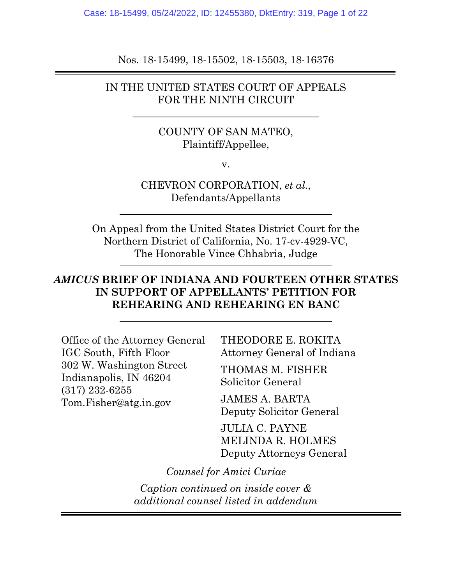Case: 18-15499, 05/24/2022, ID: 12455380, DktEntry: 319, Page 1 of 22

Nos. 18-15499, 18-15502, 18-15503, 18-16376

### IN THE UNITED STATES COURT OF APPEALS FOR THE NINTH CIRCUIT

**\_\_\_\_\_\_\_\_\_\_\_\_\_\_\_\_\_\_\_\_\_\_\_\_\_\_\_\_\_\_\_\_\_\_\_\_**

## COUNTY OF SAN MATEO, Plaintiff/Appellee,

v.

CHEVRON CORPORATION, *et al.*, Defendants/Appellants

On Appeal from the United States District Court for the Northern District of California, No. 17-cv-4929-VC, The Honorable Vince Chhabria, Judge

## *AMICUS* **BRIEF OF INDIANA AND FOURTEEN OTHER STATES IN SUPPORT OF APPELLANTS' PETITION FOR REHEARING AND REHEARING EN BANC**

Office of the Attorney General IGC South, Fifth Floor 302 W. Washington Street Indianapolis, IN 46204 (317) 232-6255 Tom.Fisher@atg.in.gov

THEODORE E. ROKITA Attorney General of Indiana

THOMAS M. FISHER Solicitor General

JAMES A. BARTA Deputy Solicitor General

JULIA C. PAYNE MELINDA R. HOLMES Deputy Attorneys General

*Counsel for Amici Curiae*

*Caption continued on inside cover & additional counsel listed in addendum*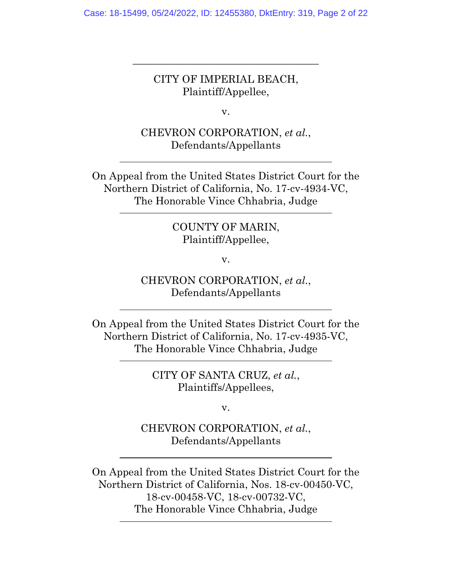CITY OF IMPERIAL BEACH, Plaintiff/Appellee,

**\_\_\_\_\_\_\_\_\_\_\_\_\_\_\_\_\_\_\_\_\_\_\_\_\_\_\_\_\_\_\_\_\_\_\_\_**

v.

CHEVRON CORPORATION, *et al.*, Defendants/Appellants

On Appeal from the United States District Court for the Northern District of California, No. 17-cv-4934-VC, The Honorable Vince Chhabria, Judge

## COUNTY OF MARIN, Plaintiff/Appellee,

v.

CHEVRON CORPORATION, *et al.*, Defendants/Appellants

On Appeal from the United States District Court for the Northern District of California, No. 17-cv-4935-VC, The Honorable Vince Chhabria, Judge

> CITY OF SANTA CRUZ, *et al.*, Plaintiffs/Appellees,

> > v.

CHEVRON CORPORATION, *et al.*, Defendants/Appellants

On Appeal from the United States District Court for the Northern District of California, Nos. 18-cv-00450-VC, 18-cv-00458-VC, 18-cv-00732-VC, The Honorable Vince Chhabria, Judge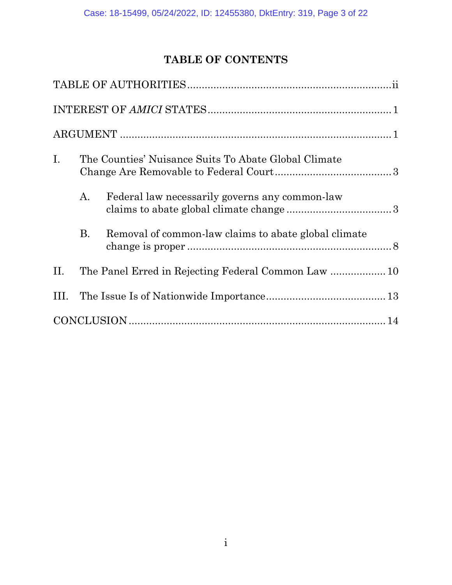# **TABLE OF CONTENTS**

| Ι.   | The Counties' Nuisance Suits To Abate Global Climate |                                                      |
|------|------------------------------------------------------|------------------------------------------------------|
|      | A.                                                   | Federal law necessarily governs any common-law       |
|      | <b>B.</b>                                            | Removal of common-law claims to abate global climate |
| П.   |                                                      | The Panel Erred in Rejecting Federal Common Law  10  |
| III. |                                                      |                                                      |
|      |                                                      |                                                      |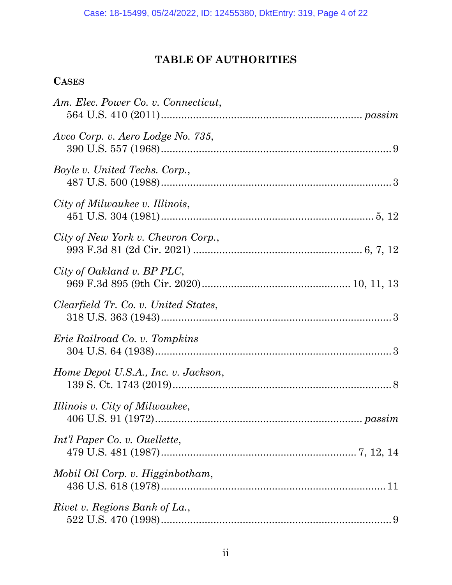# **TABLE OF AUTHORITIES**

## **CASES**

| Am. Elec. Power Co. v. Connecticut,  |
|--------------------------------------|
| Avco Corp. v. Aero Lodge No. 735,    |
| Boyle v. United Techs. Corp.,        |
| City of Milwaukee v. Illinois,       |
| City of New York v. Chevron Corp.,   |
| City of Oakland v. BP PLC,           |
| Clearfield Tr. Co. v. United States, |
| Erie Railroad Co. v. Tompkins        |
| Home Depot U.S.A., Inc. v. Jackson,  |
| Illinois v. City of Milwaukee,       |
| Int'l Paper Co. v. Ouellette,        |
| Mobil Oil Corp. v. Higginbotham,     |
| Rivet v. Regions Bank of La.,        |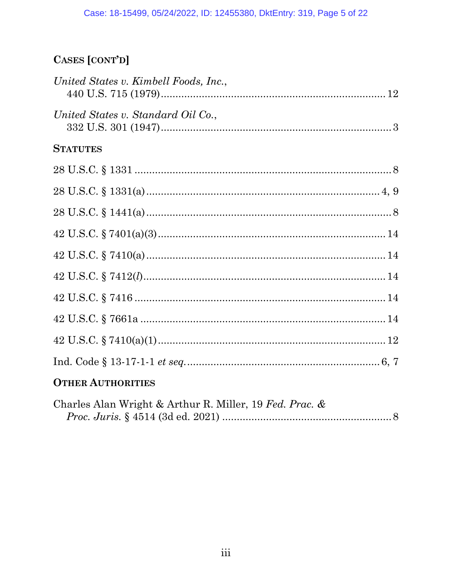# CASES [CONT'D]

| United States v. Kimbell Foods, Inc., |  |
|---------------------------------------|--|
| United States v. Standard Oil Co.,    |  |
| <b>STATUTES</b>                       |  |
|                                       |  |
|                                       |  |
|                                       |  |
|                                       |  |
|                                       |  |
|                                       |  |
|                                       |  |
|                                       |  |
|                                       |  |
|                                       |  |
|                                       |  |

# **OTHER AUTHORITIES**

| Charles Alan Wright & Arthur R. Miller, 19 Fed. Prac. & |  |
|---------------------------------------------------------|--|
|                                                         |  |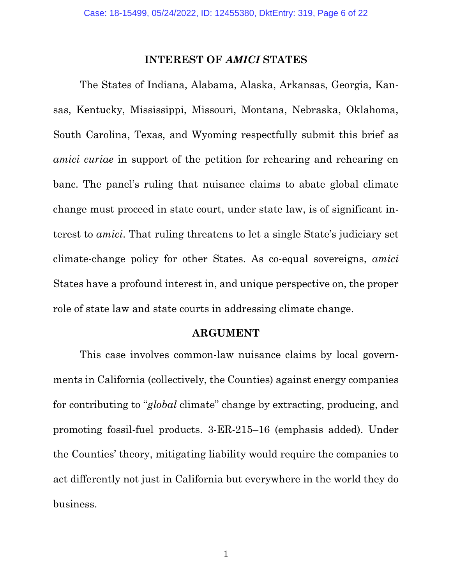#### **INTEREST OF** *AMICI* **STATES**

The States of Indiana, Alabama, Alaska, Arkansas, Georgia, Kansas, Kentucky, Mississippi, Missouri, Montana, Nebraska, Oklahoma, South Carolina, Texas, and Wyoming respectfully submit this brief as *amici curiae* in support of the petition for rehearing and rehearing en banc. The panel's ruling that nuisance claims to abate global climate change must proceed in state court, under state law, is of significant interest to *amici*. That ruling threatens to let a single State's judiciary set climate-change policy for other States. As co-equal sovereigns, *amici*  States have a profound interest in, and unique perspective on, the proper role of state law and state courts in addressing climate change.

#### **ARGUMENT**

This case involves common-law nuisance claims by local governments in California (collectively, the Counties) against energy companies for contributing to "*global* climate" change by extracting, producing, and promoting fossil-fuel products. 3-ER-215–16 (emphasis added). Under the Counties' theory, mitigating liability would require the companies to act differently not just in California but everywhere in the world they do business.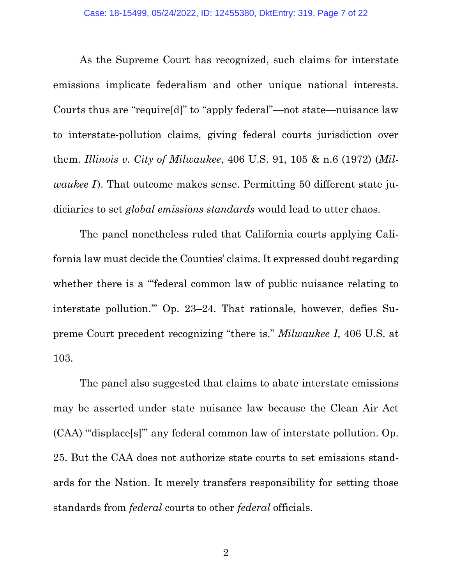As the Supreme Court has recognized, such claims for interstate emissions implicate federalism and other unique national interests. Courts thus are "require[d]" to "apply federal"—not state—nuisance law to interstate-pollution claims, giving federal courts jurisdiction over them. *Illinois v. City of Milwaukee*, 406 U.S. 91, 105 & n.6 (1972) (*Milwaukee I*). That outcome makes sense. Permitting 50 different state judiciaries to set *global emissions standards* would lead to utter chaos.

<span id="page-6-0"></span>The panel nonetheless ruled that California courts applying California law must decide the Counties' claims. It expressed doubt regarding whether there is a "federal common law of public nuisance relating to interstate pollution.'" Op. 23–24. That rationale, however, defies Supreme Court precedent recognizing "there is." *Milwaukee I*, 406 U.S. at 103.

The panel also suggested that claims to abate interstate emissions may be asserted under state nuisance law because the Clean Air Act (CAA) "'displace[s]'" any federal common law of interstate pollution. Op. 25. But the CAA does not authorize state courts to set emissions standards for the Nation. It merely transfers responsibility for setting those standards from *federal* courts to other *federal* officials.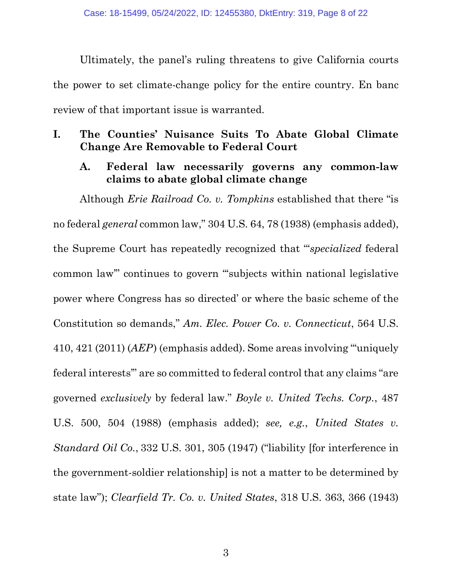Ultimately, the panel's ruling threatens to give California courts the power to set climate-change policy for the entire country. En banc review of that important issue is warranted.

## **I. The Counties' Nuisance Suits To Abate Global Climate Change Are Removable to Federal Court**

## <span id="page-7-3"></span>**A. Federal law necessarily governs any common-law claims to abate global climate change**

<span id="page-7-4"></span><span id="page-7-2"></span><span id="page-7-1"></span><span id="page-7-0"></span>Although *Erie Railroad Co. v. Tompkins* established that there "is no federal *general* common law," 304 U.S. 64, 78 (1938) (emphasis added), the Supreme Court has repeatedly recognized that "'*specialized* federal common law'" continues to govern "'subjects within national legislative power where Congress has so directed' or where the basic scheme of the Constitution so demands," *Am. Elec. Power Co. v. Connecticut*, 564 U.S. 410, 421 (2011) (*AEP*) (emphasis added). Some areas involving "'uniquely federal interests'" are so committed to federal control that any claims "are governed *exclusively* by federal law." *Boyle v. United Techs. Corp.*, 487 U.S. 500, 504 (1988) (emphasis added); *see, e.g.*, *United States v. Standard Oil Co.*, 332 U.S. 301, 305 (1947) ("liability [for interference in the government-soldier relationship] is not a matter to be determined by state law"); *Clearfield Tr. Co. v. United States*, 318 U.S. 363, 366 (1943)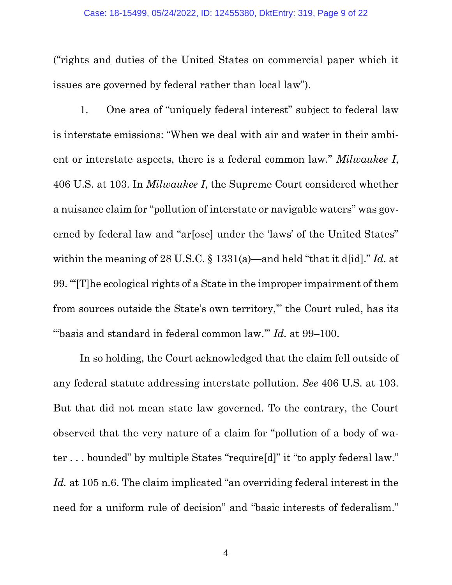("rights and duties of the United States on commercial paper which it issues are governed by federal rather than local law").

1. One area of "uniquely federal interest" subject to federal law is interstate emissions: "When we deal with air and water in their ambient or interstate aspects, there is a federal common law." *Milwaukee I*, 406 U.S. at 103. In *Milwaukee I*, the Supreme Court considered whether a nuisance claim for "pollution of interstate or navigable waters" was governed by federal law and "ar[ose] under the 'laws' of the United States" within the meaning of 28 U.S.C. § 1331(a)—and held "that it d[id]." *Id.* at 99. "'[T]he ecological rights of a State in the improper impairment of them from sources outside the State's own territory,'" the Court ruled, has its "'basis and standard in federal common law.'" *Id.* at 99–100.

<span id="page-8-0"></span>In so holding, the Court acknowledged that the claim fell outside of any federal statute addressing interstate pollution. *See* 406 U.S. at 103. But that did not mean state law governed. To the contrary, the Court observed that the very nature of a claim for "pollution of a body of water . . . bounded" by multiple States "require[d]" it "to apply federal law." *Id.* at 105 n.6. The claim implicated "an overriding federal interest in the need for a uniform rule of decision" and "basic interests of federalism."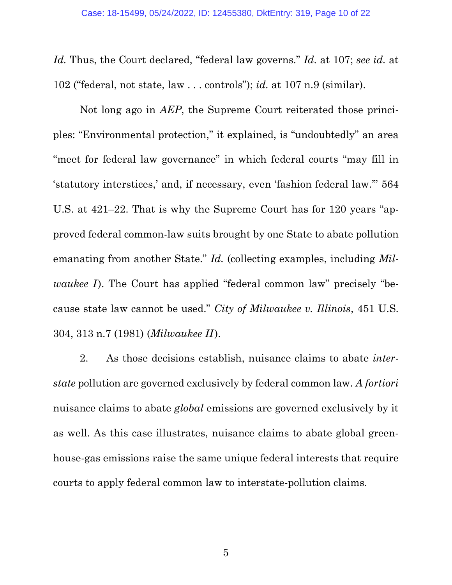*Id.* Thus, the Court declared, "federal law governs." *Id.* at 107; *see id.* at 102 ("federal, not state, law . . . controls"); *id.* at 107 n.9 (similar).

Not long ago in *AEP*, the Supreme Court reiterated those principles: "Environmental protection," it explained, is "undoubtedly" an area "meet for federal law governance" in which federal courts "may fill in 'statutory interstices,' and, if necessary, even 'fashion federal law.'" 564 U.S. at 421–22. That is why the Supreme Court has for 120 years "approved federal common-law suits brought by one State to abate pollution emanating from another State." *Id.* (collecting examples, including *Milwaukee I*). The Court has applied "federal common law" precisely "because state law cannot be used." *City of Milwaukee v. Illinois*, 451 U.S. 304, 313 n.7 (1981) (*Milwaukee II* ).

<span id="page-9-0"></span>2. As those decisions establish, nuisance claims to abate *interstate* pollution are governed exclusively by federal common law. *A fortiori* nuisance claims to abate *global* emissions are governed exclusively by it as well. As this case illustrates, nuisance claims to abate global greenhouse-gas emissions raise the same unique federal interests that require courts to apply federal common law to interstate-pollution claims.

5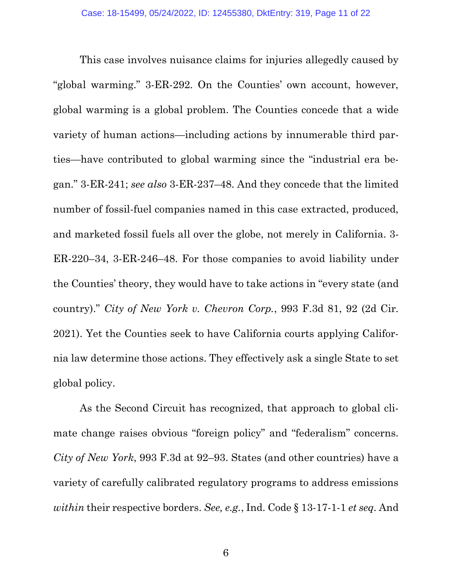This case involves nuisance claims for injuries allegedly caused by "global warming." 3-ER-292. On the Counties' own account, however, global warming is a global problem. The Counties concede that a wide variety of human actions—including actions by innumerable third parties—have contributed to global warming since the "industrial era began." 3-ER-241; *see also* 3-ER-237–48. And they concede that the limited number of fossil-fuel companies named in this case extracted, produced, and marketed fossil fuels all over the globe, not merely in California. 3- ER-220–34, 3-ER-246–48. For those companies to avoid liability under the Counties' theory, they would have to take actions in "every state (and country)." *City of New York v. Chevron Corp.*, 993 F.3d 81, 92 (2d Cir. 2021). Yet the Counties seek to have California courts applying California law determine those actions. They effectively ask a single State to set global policy.

<span id="page-10-1"></span><span id="page-10-0"></span>As the Second Circuit has recognized, that approach to global climate change raises obvious "foreign policy" and "federalism" concerns. *City of New York*, 993 F.3d at 92–93. States (and other countries) have a variety of carefully calibrated regulatory programs to address emissions *within* their respective borders. *See, e.g.*, Ind. Code § 13-17-1-1 *et seq.* And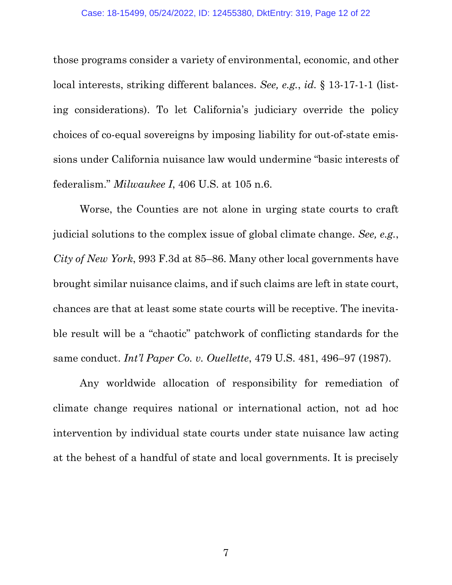<span id="page-11-2"></span>those programs consider a variety of environmental, economic, and other local interests, striking different balances. *See, e.g.*, *id.* § 13-17-1-1 (listing considerations). To let California's judiciary override the policy choices of co-equal sovereigns by imposing liability for out-of-state emissions under California nuisance law would undermine "basic interests of federalism." *Milwaukee I*, 406 U.S. at 105 n.6.

<span id="page-11-0"></span>Worse, the Counties are not alone in urging state courts to craft judicial solutions to the complex issue of global climate change. *See, e.g.*, *City of New York*, 993 F.3d at 85–86. Many other local governments have brought similar nuisance claims, and if such claims are left in state court, chances are that at least some state courts will be receptive. The inevitable result will be a "chaotic" patchwork of conflicting standards for the same conduct. *Int'l Paper Co. v. Ouellette*, 479 U.S. 481, 496–97 (1987).

<span id="page-11-1"></span>Any worldwide allocation of responsibility for remediation of climate change requires national or international action, not ad hoc intervention by individual state courts under state nuisance law acting at the behest of a handful of state and local governments. It is precisely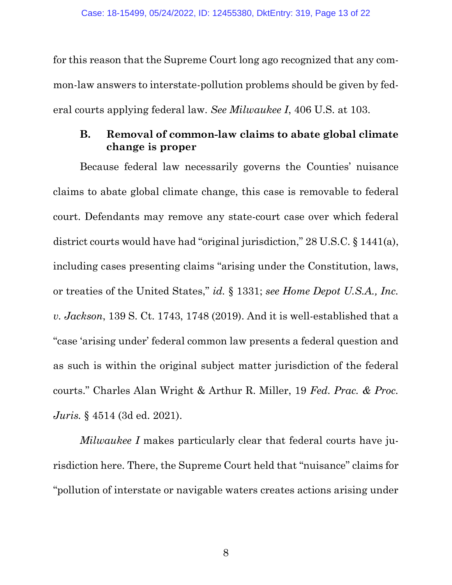for this reason that the Supreme Court long ago recognized that any common-law answers to interstate-pollution problems should be given by federal courts applying federal law. *See Milwaukee I*, 406 U.S. at 103.

## <span id="page-12-2"></span><span id="page-12-0"></span>**B. Removal of common-law claims to abate global climate change is proper**

<span id="page-12-1"></span>Because federal law necessarily governs the Counties' nuisance claims to abate global climate change, this case is removable to federal court. Defendants may remove any state-court case over which federal district courts would have had "original jurisdiction," 28 U.S.C. § 1441(a), including cases presenting claims "arising under the Constitution, laws, or treaties of the United States," *id.* § 1331; *see Home Depot U.S.A., Inc. v. Jackson*, 139 S. Ct. 1743, 1748 (2019). And it is well-established that a "case 'arising under' federal common law presents a federal question and as such is within the original subject matter jurisdiction of the federal courts." Charles Alan Wright & Arthur R. Miller, 19 *Fed. Prac. & Proc. Juris.* § 4514 (3d ed. 2021).

<span id="page-12-3"></span>*Milwaukee I* makes particularly clear that federal courts have jurisdiction here. There, the Supreme Court held that "nuisance" claims for "pollution of interstate or navigable waters creates actions arising under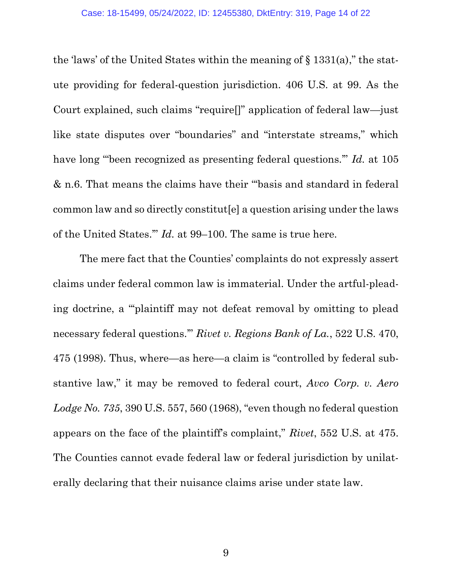<span id="page-13-2"></span>the 'laws' of the United States within the meaning of  $\S$  1331(a)," the statute providing for federal-question jurisdiction. 406 U.S. at 99. As the Court explained, such claims "require[]" application of federal law—just like state disputes over "boundaries" and "interstate streams," which have long "'been recognized as presenting federal questions.'" *Id.* at 105 & n.6. That means the claims have their "'basis and standard in federal common law and so directly constitut[e] a question arising under the laws of the United States.'" *Id.* at 99–100. The same is true here.

<span id="page-13-1"></span><span id="page-13-0"></span>The mere fact that the Counties' complaints do not expressly assert claims under federal common law is immaterial. Under the artful-pleading doctrine, a "'plaintiff may not defeat removal by omitting to plead necessary federal questions.'" *Rivet v. Regions Bank of La.*, 522 U.S. 470, 475 (1998). Thus, where—as here—a claim is "controlled by federal substantive law," it may be removed to federal court, *Avco Corp. v. Aero Lodge No. 735*, 390 U.S. 557, 560 (1968), "even though no federal question appears on the face of the plaintiff's complaint," *Rivet*, 552 U.S. at 475. The Counties cannot evade federal law or federal jurisdiction by unilaterally declaring that their nuisance claims arise under state law.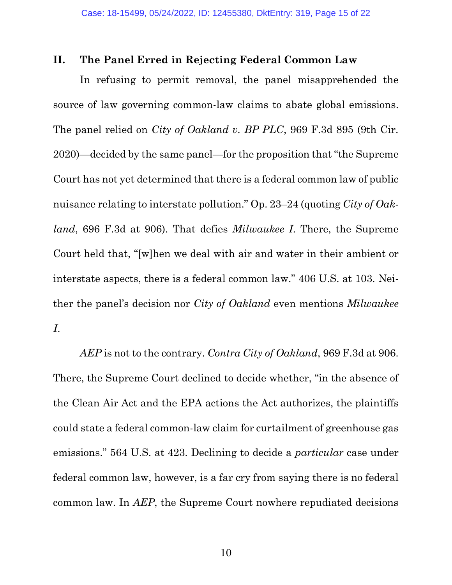#### **II. The Panel Erred in Rejecting Federal Common Law**

<span id="page-14-0"></span>In refusing to permit removal, the panel misapprehended the source of law governing common-law claims to abate global emissions. The panel relied on *City of Oakland v. BP PLC*, 969 F.3d 895 (9th Cir. 2020)—decided by the same panel—for the proposition that "the Supreme Court has not yet determined that there is a federal common law of public nuisance relating to interstate pollution." Op. 23–24 (quoting *City of Oakland*, 696 F.3d at 906). That defies *Milwaukee I*. There, the Supreme Court held that, "[w]hen we deal with air and water in their ambient or interstate aspects, there is a federal common law." 406 U.S. at 103. Neither the panel's decision nor *City of Oakland* even mentions *Milwaukee I*.

*AEP* is not to the contrary. *Contra City of Oakland*, 969 F.3d at 906. There, the Supreme Court declined to decide whether, "in the absence of the Clean Air Act and the EPA actions the Act authorizes, the plaintiffs could state a federal common-law claim for curtailment of greenhouse gas emissions." 564 U.S. at 423. Declining to decide a *particular* case under federal common law, however, is a far cry from saying there is no federal common law. In *AEP*, the Supreme Court nowhere repudiated decisions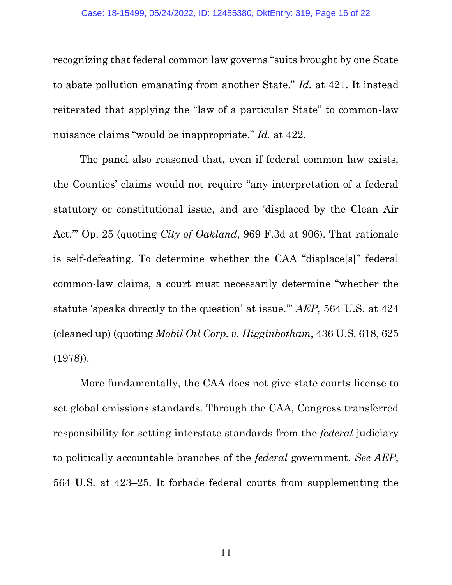recognizing that federal common law governs "suits brought by one State to abate pollution emanating from another State." *Id.* at 421. It instead reiterated that applying the "law of a particular State" to common-law nuisance claims "would be inappropriate." *Id.* at 422.

<span id="page-15-0"></span>The panel also reasoned that, even if federal common law exists, the Counties' claims would not require "any interpretation of a federal statutory or constitutional issue, and are 'displaced by the Clean Air Act.'" Op. 25 (quoting *City of Oakland*, 969 F.3d at 906). That rationale is self-defeating. To determine whether the CAA "displace[s]" federal common-law claims, a court must necessarily determine "whether the statute 'speaks directly to the question' at issue.'" *AEP*, 564 U.S. at 424 (cleaned up) (quoting *Mobil Oil Corp. v. Higginbotham*, 436 U.S. 618, 625 (1978)).

<span id="page-15-1"></span>More fundamentally, the CAA does not give state courts license to set global emissions standards. Through the CAA, Congress transferred responsibility for setting interstate standards from the *federal* judiciary to politically accountable branches of the *federal* government. *See AEP*, 564 U.S. at 423–25. It forbade federal courts from supplementing the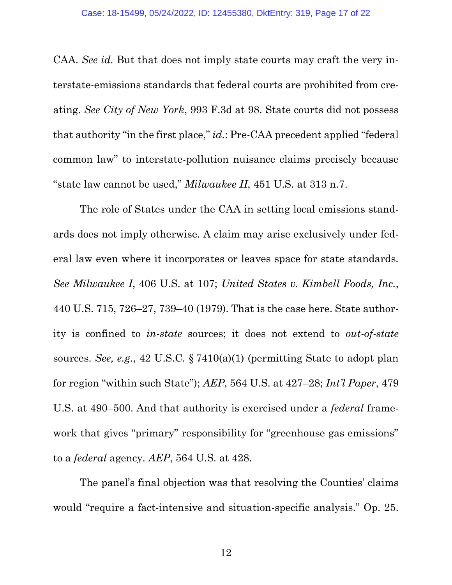<span id="page-16-1"></span>CAA. *See id.* But that does not imply state courts may craft the very interstate-emissions standards that federal courts are prohibited from creating. *See City of New York*, 993 F.3d at 98. State courts did not possess that authority "in the first place," *id.*: Pre-CAA precedent applied "federal common law" to interstate-pollution nuisance claims precisely because "state law cannot be used," *Milwaukee II*, 451 U.S. at 313 n.7.

<span id="page-16-3"></span><span id="page-16-0"></span>The role of States under the CAA in setting local emissions standards does not imply otherwise. A claim may arise exclusively under federal law even where it incorporates or leaves space for state standards. *See Milwaukee I*, 406 U.S. at 107; *United States v. Kimbell Foods, Inc.*, 440 U.S. 715, 726–27, 739–40 (1979). That is the case here. State authority is confined to *in-state* sources; it does not extend to *out-of-state* sources. *See, e.g.*, 42 U.S.C. § 7410(a)(1) (permitting State to adopt plan for region "within such State"); *AEP*, 564 U.S. at 427–28; *Int'l Paper*, 479 U.S. at 490–500. And that authority is exercised under a *federal* framework that gives "primary" responsibility for "greenhouse gas emissions" to a *federal* agency. *AEP*, 564 U.S. at 428.

<span id="page-16-4"></span><span id="page-16-2"></span>The panel's final objection was that resolving the Counties' claims would "require a fact-intensive and situation-specific analysis." Op. 25.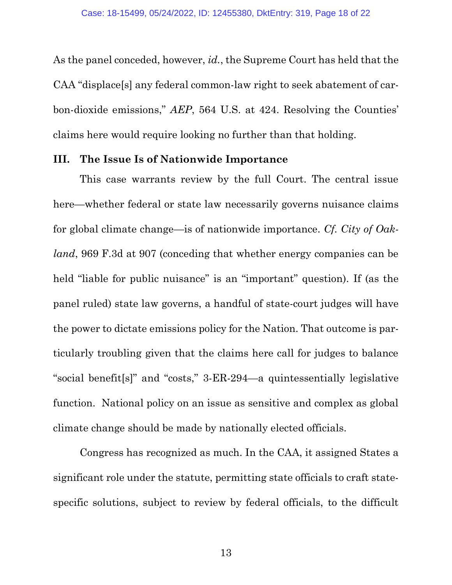As the panel conceded, however, *id.*, the Supreme Court has held that the CAA "displace[s] any federal common-law right to seek abatement of carbon-dioxide emissions," *AEP*, 564 U.S. at 424. Resolving the Counties' claims here would require looking no further than that holding.

#### **III. The Issue Is of Nationwide Importance**

<span id="page-17-0"></span>This case warrants review by the full Court. The central issue here—whether federal or state law necessarily governs nuisance claims for global climate change—is of nationwide importance. *Cf. City of Oakland*, 969 F.3d at 907 (conceding that whether energy companies can be held "liable for public nuisance" is an "important" question). If (as the panel ruled) state law governs, a handful of state-court judges will have the power to dictate emissions policy for the Nation. That outcome is particularly troubling given that the claims here call for judges to balance "social benefit[s]" and "costs," 3-ER-294—a quintessentially legislative function. National policy on an issue as sensitive and complex as global climate change should be made by nationally elected officials.

Congress has recognized as much. In the CAA, it assigned States a significant role under the statute, permitting state officials to craft statespecific solutions, subject to review by federal officials, to the difficult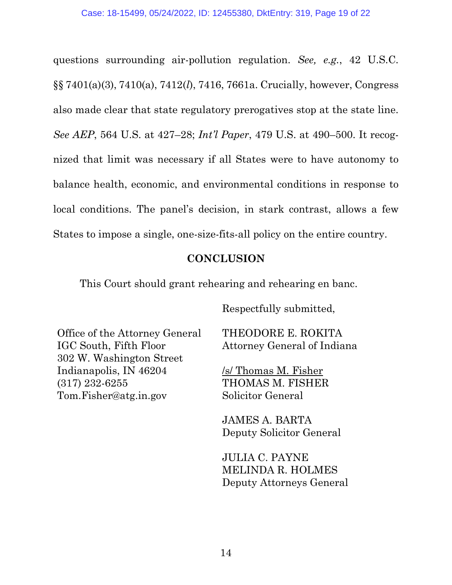questions surrounding air-pollution regulation. *See, e.g.*, 42 U.S.C. §§ 7401(a)(3), 7410(a), 7412(*l*), 7416, 7661a. Crucially, however, Congress also made clear that state regulatory prerogatives stop at the state line. *See AEP*, 564 U.S. at 427–28; *Int'l Paper*, 479 U.S. at 490–500. It recognized that limit was necessary if all States were to have autonomy to balance health, economic, and environmental conditions in response to local conditions. The panel's decision, in stark contrast, allows a few States to impose a single, one-size-fits-all policy on the entire country.

### <span id="page-18-1"></span><span id="page-18-0"></span>**CONCLUSION**

This Court should grant rehearing and rehearing en banc.

Respectfully submitted,

Office of the Attorney General IGC South, Fifth Floor 302 W. Washington Street Indianapolis, IN 46204 (317) 232-6255 [Tom.Fisher@atg.in.gov](mailto:Tom.Fisher@atg.in.gov)

THEODORE E. ROKITA Attorney General of Indiana

/s/ Thomas M. Fisher THOMAS M. FISHER Solicitor General

JAMES A. BARTA Deputy Solicitor General

JULIA C. PAYNE MELINDA R. HOLMES Deputy Attorneys General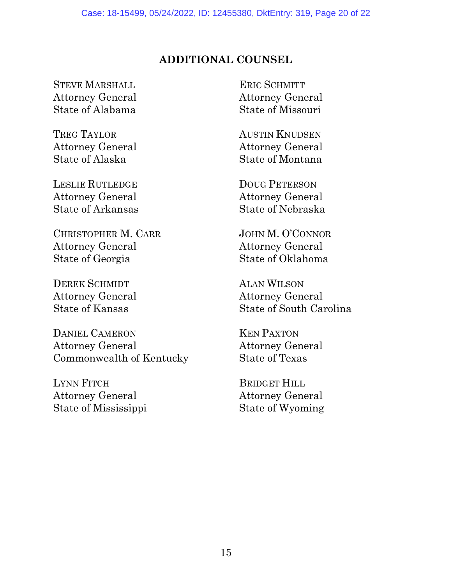## **ADDITIONAL COUNSEL**

STEVE MARSHALL Attorney General State of Alabama

TREG TAYLOR Attorney General State of Alaska

LESLIE RUTLEDGE Attorney General State of Arkansas

CHRISTOPHER M. CARR Attorney General State of Georgia

DEREK SCHMIDT Attorney General State of Kansas

DANIEL CAMERON Attorney General Commonwealth of Kentucky

LYNN FITCH Attorney General State of Mississippi

ERIC SCHMITT Attorney General State of Missouri

AUSTIN KNUDSEN Attorney General State of Montana

DOUG PETERSON Attorney General State of Nebraska

JOHN M. O'CONNOR Attorney General State of Oklahoma

ALAN WILSON Attorney General State of South Carolina

KEN PAXTON Attorney General State of Texas

BRIDGET HILL Attorney General State of Wyoming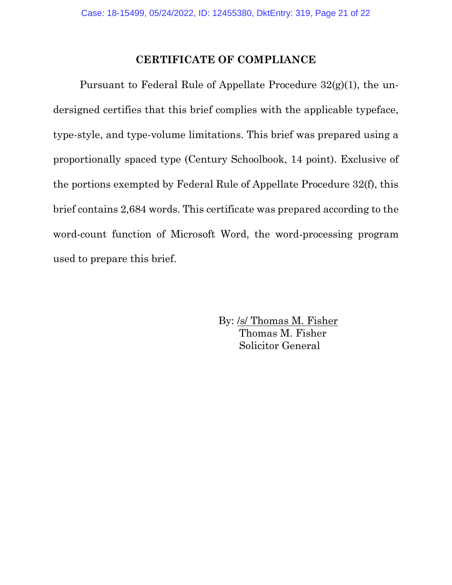### **CERTIFICATE OF COMPLIANCE**

Pursuant to Federal Rule of Appellate Procedure 32(g)(1), the undersigned certifies that this brief complies with the applicable typeface, type-style, and type-volume limitations. This brief was prepared using a proportionally spaced type (Century Schoolbook, 14 point). Exclusive of the portions exempted by Federal Rule of Appellate Procedure 32(f), this brief contains 2,684 words. This certificate was prepared according to the word-count function of Microsoft Word, the word-processing program used to prepare this brief.

> By: /s/ Thomas M. Fisher Thomas M. Fisher Solicitor General